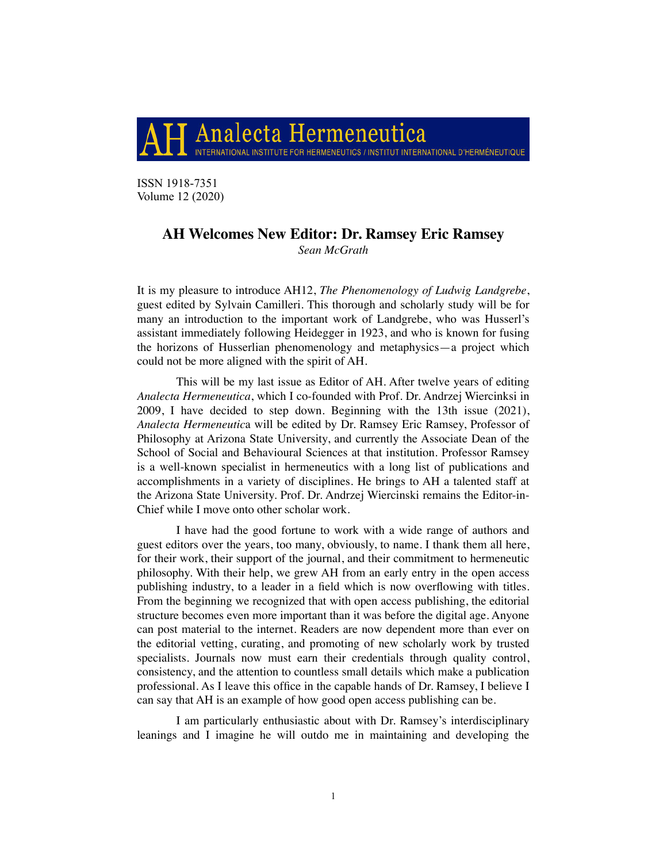Analecta Hermeneutica INTERNATIONAL INSTITUTE FOR HERMENEUTICS / INSTITUT INTERNATIONAL D'HERMÉNEUTIQUE

ISSN 1918-7351 Volume 12 (2020)

## **AH Welcomes New Editor: Dr. Ramsey Eric Ramsey**  *Sean McGrath*

It is my pleasure to introduce AH12, *The Phenomenology of Ludwig Landgrebe*, guest edited by Sylvain Camilleri. This thorough and scholarly study will be for many an introduction to the important work of Landgrebe, who was Husserl's assistant immediately following Heidegger in 1923, and who is known for fusing the horizons of Husserlian phenomenology and metaphysics—a project which could not be more aligned with the spirit of AH.

This will be my last issue as Editor of AH. After twelve years of editing *Analecta Hermeneutica*, which I co-founded with Prof. Dr. Andrzej Wiercinksi in 2009, I have decided to step down. Beginning with the 13th issue (2021), *Analecta Hermeneutic*a will be edited by Dr. Ramsey Eric Ramsey, Professor of Philosophy at Arizona State University, and currently the Associate Dean of the School of Social and Behavioural Sciences at that institution. Professor Ramsey is a well-known specialist in hermeneutics with a long list of publications and accomplishments in a variety of disciplines. He brings to AH a talented staff at the Arizona State University. Prof. Dr. Andrzej Wiercinski remains the Editor-in-Chief while I move onto other scholar work.

I have had the good fortune to work with a wide range of authors and guest editors over the years, too many, obviously, to name. I thank them all here, for their work, their support of the journal, and their commitment to hermeneutic philosophy. With their help, we grew AH from an early entry in the open access publishing industry, to a leader in a field which is now overflowing with titles. From the beginning we recognized that with open access publishing, the editorial structure becomes even more important than it was before the digital age. Anyone can post material to the internet. Readers are now dependent more than ever on the editorial vetting, curating, and promoting of new scholarly work by trusted specialists. Journals now must earn their credentials through quality control, consistency, and the attention to countless small details which make a publication professional. As I leave this office in the capable hands of Dr. Ramsey, I believe I can say that AH is an example of how good open access publishing can be.

I am particularly enthusiastic about with Dr. Ramsey's interdisciplinary leanings and I imagine he will outdo me in maintaining and developing the